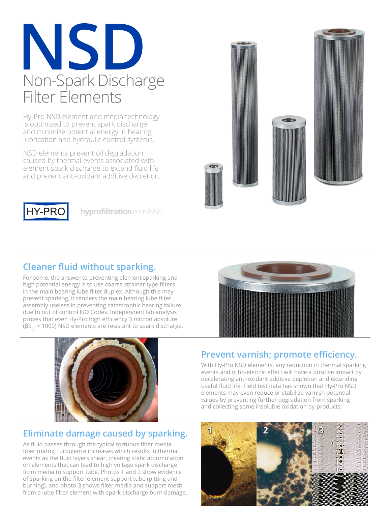# **NSD** Non-Spark Discharge Filter Elements

Hy-Pro NSD element and media technology is optimized to prevent spark discharge and minimize potential energy in bearing lubrication and hydraulic control systems.

NSD elements prevent oil degradation caused by thermal events associated with element spark discharge to extend fluid life and prevent anti-oxidant additive depletion.



**hyprofiltration**.com/NSD



#### **Cleaner fluid without sparking.**

For some, the answer to preventing element sparking and high potential energy is to use coarse strainer type filters in the main bearing lube filter duplex. Although this may prevent sparking, it renders the main bearing lube filter assembly useless in preventing catastrophic bearing failure due to out of control ISO Codes. Independent lab analysis proves that even Hy-Pro high efficiency 3 micron absolute ( $\beta$ 5<sub>[c]</sub> > 1000) NSD elements are resistant to spark discharge.



#### **Eliminate damage caused by sparking.**

As fluid passes through the typical tortuous filter media fiber matrix, turbulence increases which results in thermal events as the fluid layers shear, creating static accumulation on elements that can lead to high voltage spark discharge from media to support tube. Photos 1 and 2 show evidence of sparking on the filter element support tube (pitting and burning), and photo 3 shows filter media and support mesh from a lube filter element with spark discharge burn damage.



### **Prevent varnish; promote efficiency.**

With Hy-Pro NSD elements, any reduction in thermal sparking events and tribo-electric effect will have a positive impact by decelerating anti-oxidant additive depletion and extending useful fluid life. Field test data has shown that Hy-Pro NSD elements may even reduce or stabilize varnish potential values by preventing further degradation from sparking and collecting some insoluble oxidation by-products.